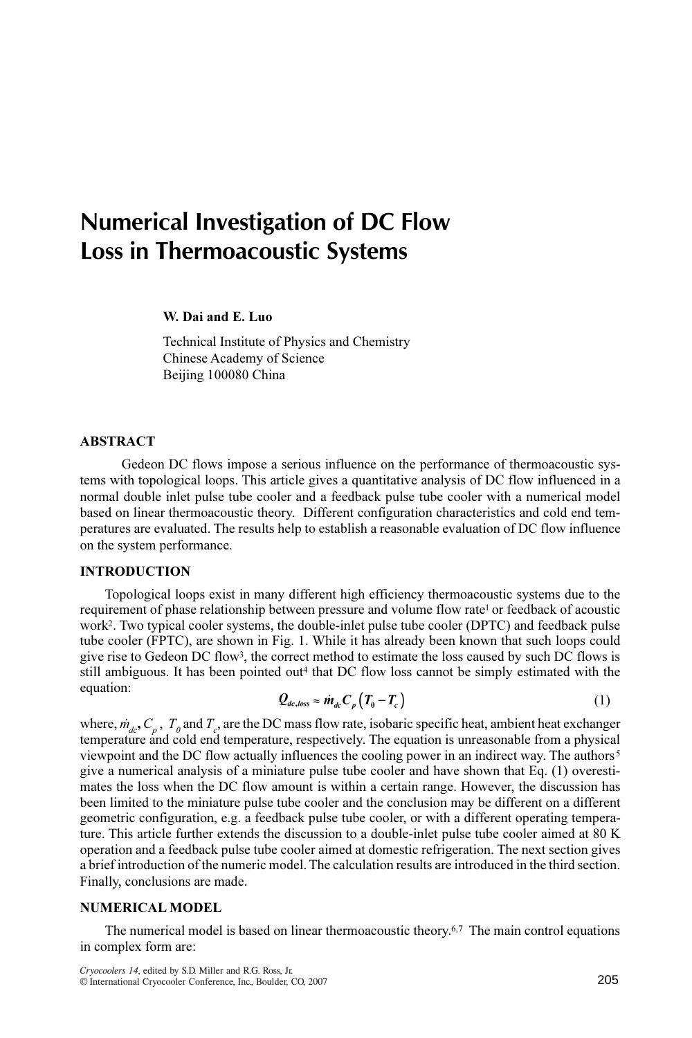# Numerical Investigation of DC Flow Loss in Thermoacoustic Systems

W. Dai and E. Luo

Technical Institute of Physics and Chemistry Chinese Academy of Science Beijing 100080 China

#### ABSTRACT

Gedeon DC flows impose a serious influence on the performance of thermoacoustic systems with topological loops. This article gives a quantitative analysis of DC flow influenced in a normal double inlet pulse tube cooler and a feedback pulse tube cooler with a numerical model based on linear thermoacoustic theory. Different configuration characteristics and cold end temperatures are evaluated. The results help to establish a reasonable evaluation of DC flow influence on the system performance.

### INTRODUCTION

Topological loops exist in many different high efficiency thermoacoustic systems due to the requirement of phase relationship between pressure and volume flow rate<sup>1</sup> or feedback of acoustic work<sup>2</sup>. Two typical cooler systems, the double-inlet pulse tube cooler (DPTC) and feedback pulse tube cooler (FPTC), are shown in Fig. 1. While it has already been known that such loops could give rise to Gedeon DC flow<sup>3</sup>, the correct method to estimate the loss caused by such DC flows is still ambiguous. It has been pointed out<sup>4</sup> that DC flow loss cannot be simply estimated with the equation:  $Q_{dc, loss} \approx \dot{m}_{dc} C_p (T_0 - T_c)$  (1)

$$
Q_{dc,loss} \approx \dot{m}_{dc} C_p \left( T_0 - T_c \right) \tag{1}
$$

where,  $\dot{m}_{dc}$ ,  $C_p$ ,  $T_q$  and  $T_c$ , are the DC mass flow rate, isobaric specific heat, ambient heat exchanger temperature and cold end temperature, respectively. The equation is unreasonable from a physical viewpoint and the DC flow actually influences the cooling power in an indirect way. The authors<sup>5</sup> give a numerical analysis of a miniature pulse tube cooler and have shown that Eq. (1) overestimates the loss when the DC flow amount is within a certain range. However, the discussion has been limited to the miniature pulse tube cooler and the conclusion may be different on a different geometric configuration, e.g. a feedback pulse tube cooler, or with a different operating temperature. This article further extends the discussion to a double-inlet pulse tube cooler aimed at 80 K operation and a feedback pulse tube cooler aimed at domestic refrigeration. The next section gives a brief introduction of the numeric model. The calculation results are introduced in the third section. Finally, conclusions are made.

### NUMERICAL MODEL

The numerical model is based on linear thermoacoustic theory.<sup>6,7</sup> The main control equations in complex form are: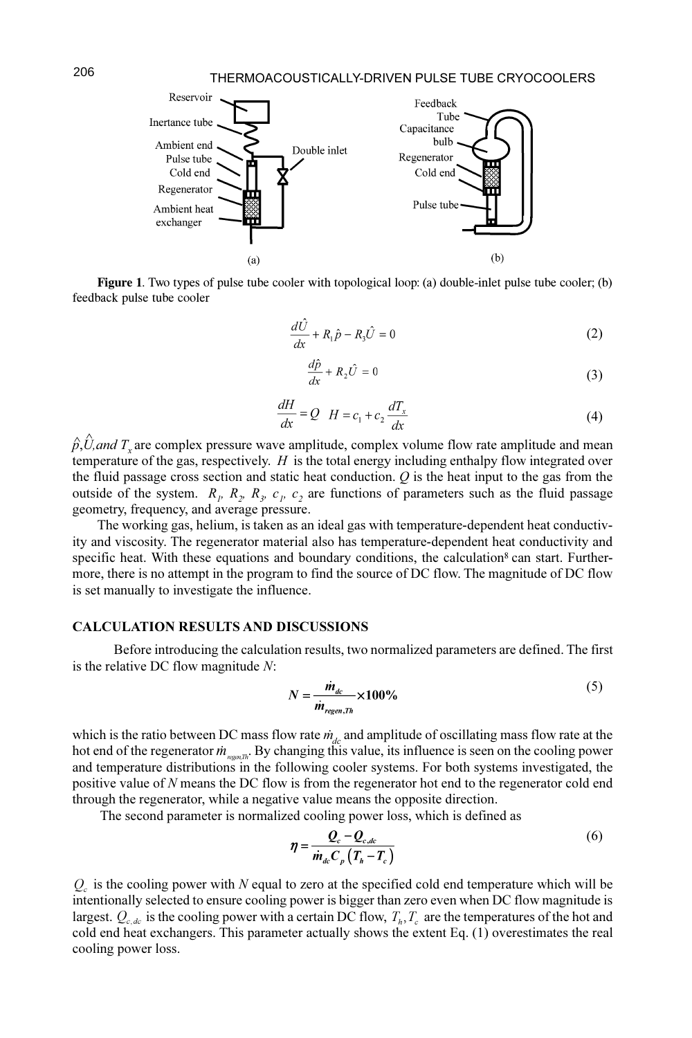

Figure 1. Two types of pulse tube cooler with topological loop: (a) double-inlet pulse tube cooler; (b) feedback pulse tube cooler

$$
\frac{d\hat{U}}{dx} + R_1 \hat{p} - R_3 \hat{U} = 0
$$
\n(2)

$$
\frac{d\hat{p}}{dx} + R_2 \hat{U} = 0
$$
\n(3)

$$
\frac{dH}{dx} = Q \quad H = c_1 + c_2 \frac{dT_x}{dx} \tag{4}
$$

 $\hat{p}, \hat{U}$ ,and  $T_x$  are complex pressure wave amplitude, complex volume flow rate amplitude and mean temperature of the gas, respectively.  $H$  is the total energy including enthalpy flow integrated over the fluid passage cross section and static heat conduction.  $Q$  is the heat input to the gas from the outside of the system.  $R_p$ ,  $R_p$ ,  $R_q$ ,  $c_p$ ,  $c_2$  are functions of parameters such as the fluid passage geometry, frequency, and average pressure.

The working gas, helium, is taken as an ideal gas with temperature-dependent heat conductivity and viscosity. The regenerator material also has temperature-dependent heat conductivity and specific heat. With these equations and boundary conditions, the calculation<sup>8</sup> can start. Furthermore, there is no attempt in the program to find the source of DC flow. The magnitude of DC flow is set manually to investigate the influence.

#### CALCULATION RESULTS AND DISCUSSIONS

Before introducing the calculation results, two normalized parameters are defined. The first is the relative DC flow magnitude N:

$$
N = \frac{\dot{m}_{dc}}{\dot{m}_{regen,Th}} \times 100\%
$$
\n<sup>(5)</sup>

which is the ratio between DC mass flow rate  $\dot{m}_{dc}$  and amplitude of oscillating mass flow rate at the hot end of the regenerator  $\dot{m}_{\text{reson},\pi}$ . By changing this value, its influence is seen on the cooling power and temperature distributions in the following cooler systems. For both systems investigated, the positive value of N means the DC flow is from the regenerator hot end to the regenerator cold end through the regenerator, while a negative value means the opposite direction.

The second parameter is normalized cooling power loss, which is defined as

$$
\eta = \frac{Q_c - Q_{c,dc}}{\dot{m}_{dc}C_p \left(T_h - T_c\right)}\tag{6}
$$

 $Q<sub>c</sub>$  is the cooling power with N equal to zero at the specified cold end temperature which will be intentionally selected to ensure cooling power is bigger than zero even when DC flow magnitude is largest.  $Q_{c,dc}$  is the cooling power with a certain DC flow,  $T_b$ ,  $T_c$  are the temperatures of the hot and cold end heat exchangers. This parameter actually shows the extent Eq. (1) overestimates the real cooling power loss.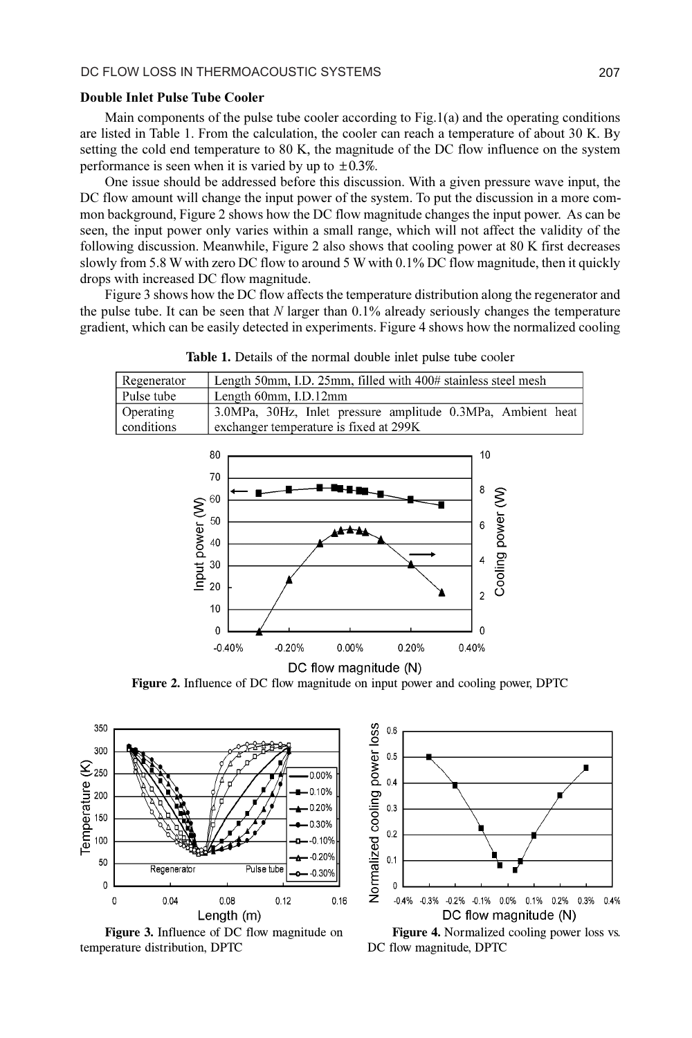#### Double Inlet Pulse Tube Cooler

Main components of the pulse tube cooler according to Fig.1(a) and the operating conditions are listed in Table 1. From the calculation, the cooler can reach a temperature of about 30 K. By setting the cold end temperature to 80 K, the magnitude of the DC flow influence on the system performance is seen when it is varied by up to  $\pm 0.3\%$ .

One issue should be addressed before this discussion. With a given pressure wave input, the DC flow amount will change the input power of the system. To put the discussion in a more common background, Figure 2 shows how the DC flow magnitude changes the input power. As can be seen, the input power only varies within a small range, which will not affect the validity of the following discussion. Meanwhile, Figure 2 also shows that cooling power at 80 K first decreases slowly from 5.8 W with zero DC flow to around 5 W with 0.1% DC flow magnitude, then it quickly drops with increased DC flow magnitude.

Figure 3 shows how the DC flow affects the temperature distribution along the regenerator and the pulse tube. It can be seen that  $N$  larger than 0.1% already seriously changes the temperature gradient, which can be easily detected in experiments. Figure 4 shows how the normalized cooling

| Regenerator | Length 50mm, I.D. 25mm, filled with 400# stainless steel mesh |
|-------------|---------------------------------------------------------------|
| Pulse tube  | Length 60mm, I.D.12mm                                         |
| Operating   | 3.0MPa, 30Hz, Inlet pressure amplitude 0.3MPa, Ambient heat   |
| conditions  | exchanger temperature is fixed at 299K                        |

Table 1. Details of the normal double inlet pulse tube cooler



Figure 2. Influence of DC flow magnitude on input power and cooling power, DPTC



Figure 3. Influence of DC flow magnitude on temperature distribution, DPTC



Figure 4. Normalized cooling power loss vs. DC flow magnitude, DPTC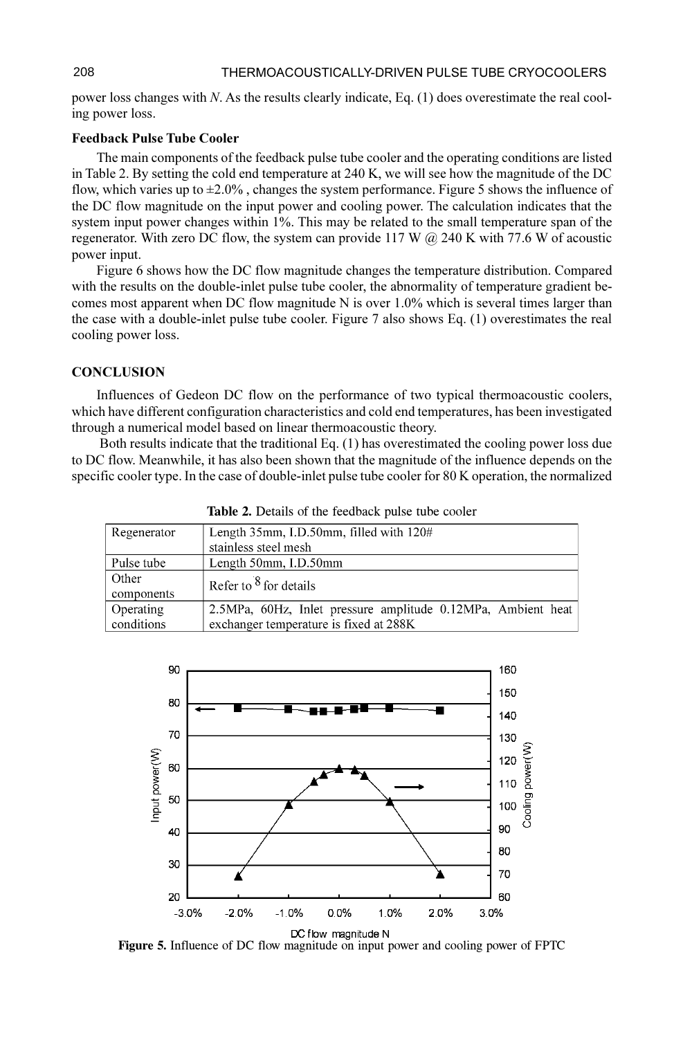power loss changes with N. As the results clearly indicate, Eq. (1) does overestimate the real cooling power loss.

#### Feedback Pulse Tube Cooler

The main components of the feedback pulse tube cooler and the operating conditions are listed in Table 2. By setting the cold end temperature at 240 K, we will see how the magnitude of the DC flow, which varies up to ±2.0% , changes the system performance. Figure 5 shows the influence of the DC flow magnitude on the input power and cooling power. The calculation indicates that the system input power changes within 1%. This may be related to the small temperature span of the regenerator. With zero DC flow, the system can provide 117 W  $\omega$  240 K with 77.6 W of acoustic power input.

Figure 6 shows how the DC flow magnitude changes the temperature distribution. Compared with the results on the double-inlet pulse tube cooler, the abnormality of temperature gradient becomes most apparent when DC flow magnitude N is over  $1.0\%$  which is several times larger than the case with a double-inlet pulse tube cooler. Figure 7 also shows Eq. (1) overestimates the real cooling power loss.

## **CONCLUSION**

Influences of Gedeon DC flow on the performance of two typical thermoacoustic coolers, which have different configuration characteristics and cold end temperatures, has been investigated through a numerical model based on linear thermoacoustic theory.

 Both results indicate that the traditional Eq. (1) has overestimated the cooling power loss due to DC flow. Meanwhile, it has also been shown that the magnitude of the influence depends on the specific cooler type. In the case of double-inlet pulse tube cooler for 80 K operation, the normalized

|             | <b>THERE Example 100 Research pulse</b> there everely        |
|-------------|--------------------------------------------------------------|
| Regenerator | Length $35$ mm, I.D. $50$ mm, filled with $120#$             |
|             | stainless steel mesh                                         |
| Pulse tube  | Length 50mm, I.D.50mm                                        |
| Other       | Refer to $8$ for details                                     |
| components  |                                                              |
| Operating   | 2.5MPa, 60Hz, Inlet pressure amplitude 0.12MPa, Ambient heat |
| conditions  | exchanger temperature is fixed at 288K                       |

Table 2. Details of the feedback pulse tube cooler



Figure 5. Influence of DC flow magnitude on input power and cooling power of FPTC